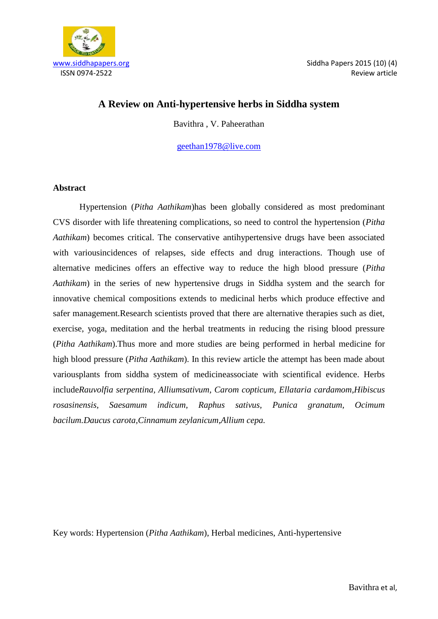

# **A Review on Anti-hypertensive herbs in Siddha system**

Bavithra , V. Paheerathan

[geethan1978@live.com](mailto:geethan1978@live.com)

#### **Abstract**

Hypertension (*Pitha Aathikam*)has been globally considered as most predominant CVS disorder with life threatening complications, so need to control the hypertension (*Pitha Aathikam*) becomes critical. The conservative antihypertensive drugs have been associated with variousincidences of relapses, side effects and drug interactions. Though use of alternative medicines offers an effective way to reduce the high blood pressure (*Pitha Aathikam*) in the series of new hypertensive drugs in Siddha system and the search for innovative chemical compositions extends to medicinal herbs which produce effective and safer management.Research scientists proved that there are alternative therapies such as diet, exercise, yoga, meditation and the herbal treatments in reducing the rising blood pressure (*Pitha Aathikam*).Thus more and more studies are being performed in herbal medicine for high blood pressure (*Pitha Aathikam*). In this review article the attempt has been made about variousplants from siddha system of medicineassociate with scientifical evidence. Herbs include*Rauvolfia serpentina, Alliumsativum, Carom copticum, Ellataria cardamom,Hibiscus rosasinensis, Saesamum indicum, Raphus sativus, Punica granatum, Ocimum bacilum.Daucus carota,Cinnamum zeylanicum,Allium cepa.*

Key words: Hypertension (*Pitha Aathikam*), Herbal medicines, Anti-hypertensive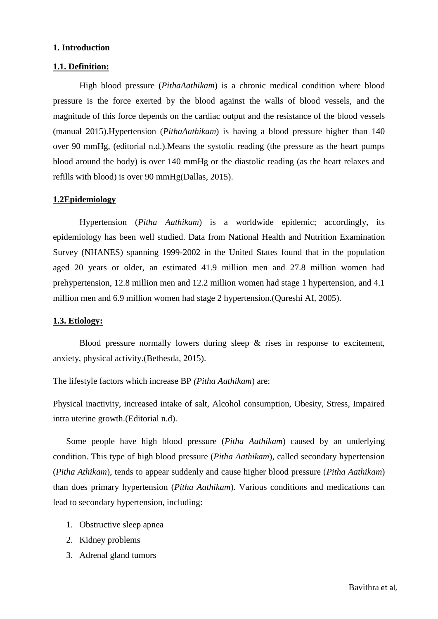#### **1. Introduction**

#### **1.1. Definition:**

High blood pressure (*PithaAathikam*) is a chronic medical condition where blood pressure is the force exerted by the blood against the walls of blood vessels, and the magnitude of this force depends on the cardiac output and the resistance of the blood vessels (manual 2015).Hypertension (*PithaAathikam*) is having a blood pressure higher than 140 over 90 mmHg, (editorial n.d.).Means the systolic reading (the pressure as the heart pumps blood around the body) is over 140 mmHg or the diastolic reading (as the heart relaxes and refills with blood) is over 90 mmHg(Dallas, 2015).

#### **1.2Epidemiology**

Hypertension (*Pitha Aathikam*) is a worldwide epidemic; accordingly, its epidemiology has been well studied. Data from National Health and Nutrition Examination Survey (NHANES) spanning 1999-2002 in the United States found that in the population aged 20 years or older, an estimated 41.9 million men and 27.8 million women had prehypertension, 12.8 million men and 12.2 million women had stage 1 hypertension, and 4.1 million men and 6.9 million women had stage 2 hypertension.(Qureshi AI, 2005).

#### **1.3. Etiology:**

Blood pressure normally lowers during sleep & rises in response to excitement, anxiety, physical activity.(Bethesda, 2015).

The lifestyle factors which increase BP *(Pitha Aathikam*) are:

Physical inactivity, increased intake of salt, Alcohol consumption, Obesity, Stress, Impaired intra uterine growth.(Editorial n.d).

Some people have high blood pressure (*Pitha Aathikam*) caused by an underlying condition. This type of high blood pressure (*Pitha Aathikam*), called secondary hypertension (*Pitha Athikam*), tends to appear suddenly and cause higher blood pressure (*Pitha Aathikam*) than does primary hypertension (*Pitha Aathikam*). Various conditions and medications can lead to secondary hypertension, including:

- 1. Obstructive sleep apnea
- 2. Kidney problems
- 3. Adrenal gland tumors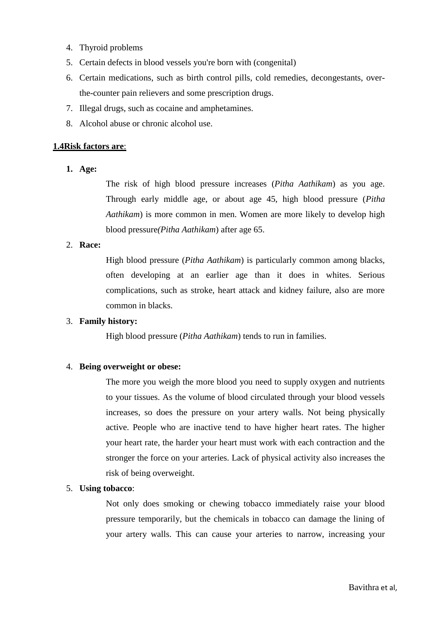- 4. Thyroid problems
- 5. Certain defects in blood vessels you're born with (congenital)
- 6. Certain medications, such as birth control pills, cold remedies, decongestants, overthe-counter pain relievers and some prescription drugs.
- 7. Illegal drugs, such as cocaine and amphetamines.
- 8. Alcohol abuse or chronic alcohol use.

## **1.4Risk factors are**:

**1. Age:**

The risk of high blood pressure increases (*Pitha Aathikam*) as you age. Through early middle age, or about age 45, high blood pressure (*Pitha Aathikam*) is more common in men. Women are more likely to develop high blood pressure*(Pitha Aathikam*) after age 65.

## 2. **Race:**

High blood pressure (*Pitha Aathikam*) is particularly common among blacks, often developing at an earlier age than it does in whites. Serious complications, such as stroke, heart attack and kidney failure, also are more common in blacks.

## 3. **Family history:**

High blood pressure (*Pitha Aathikam*) tends to run in families.

# 4. **Being overweight or obese:**

The more you weigh the more blood you need to supply oxygen and nutrients to your tissues. As the volume of blood circulated through your blood vessels increases, so does the pressure on your artery walls. Not being physically active. People who are inactive tend to have higher heart rates. The higher your heart rate, the harder your heart must work with each contraction and the stronger the force on your arteries. Lack of physical activity also increases the risk of being overweight.

### 5. **Using tobacco**:

Not only does smoking or chewing tobacco immediately raise your blood pressure temporarily, but the chemicals in tobacco can damage the lining of your artery walls. This can cause your arteries to narrow, increasing your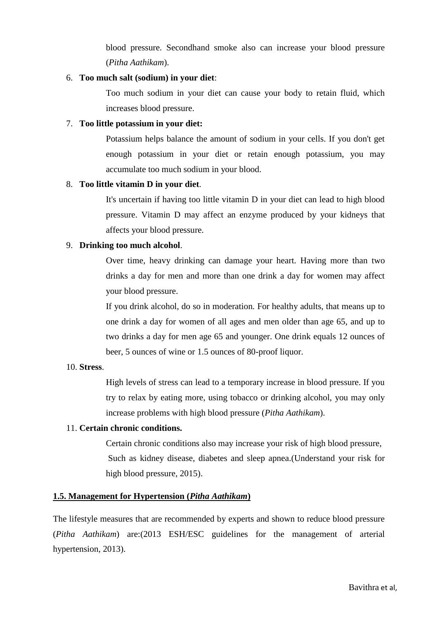blood pressure. Secondhand smoke also can increase your blood pressure (*Pitha Aathikam*).

#### 6. **Too much salt (sodium) in your diet**:

Too much sodium in your diet can cause your body to retain fluid, which increases blood pressure.

### 7. **Too little potassium in your diet:**

Potassium helps balance the amount of sodium in your cells. If you don't get enough potassium in your diet or retain enough potassium, you may accumulate too much sodium in your blood.

#### 8. **Too little vitamin D in your diet**.

It's uncertain if having too little vitamin D in your diet can lead to high blood pressure. Vitamin D may affect an enzyme produced by your kidneys that affects your blood pressure.

#### 9. **Drinking too much alcohol**.

Over time, heavy drinking can damage your heart. Having more than two drinks a day for men and more than one drink a day for women may affect your blood pressure.

If you drink alcohol, do so in moderation. For healthy adults, that means up to one drink a day for women of all ages and men older than age 65, and up to two drinks a day for men age 65 and younger. One drink equals 12 ounces of beer, 5 ounces of wine or 1.5 ounces of 80-proof liquor.

## 10. **Stress**.

High levels of stress can lead to a temporary increase in blood pressure. If you try to relax by eating more, using tobacco or drinking alcohol, you may only increase problems with high blood pressure (*Pitha Aathikam*).

### 11. **Certain chronic conditions.**

Certain chronic conditions also may increase your risk of high blood pressure, Such as kidney disease, diabetes and sleep apnea.(Understand your risk for high blood pressure, 2015).

## **1.5. Management for Hypertension (***Pitha Aathikam***)**

The lifestyle measures that are recommended by experts and shown to reduce blood pressure (*Pitha Aathikam*) are:(2013 ESH/ESC guidelines for the management of arterial hypertension, 2013).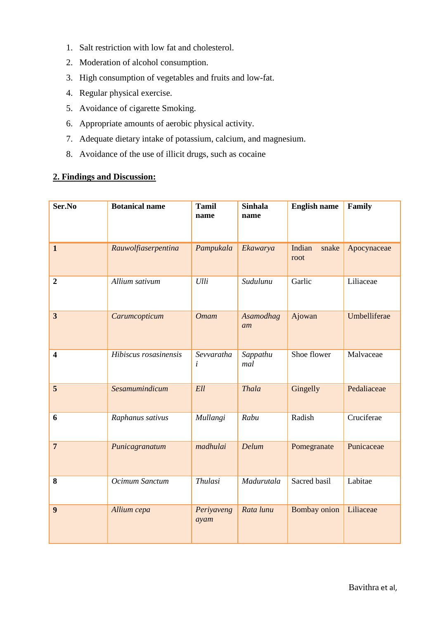- 1. Salt restriction with low fat and cholesterol.
- 2. Moderation of alcohol consumption.
- 3. High consumption of vegetables and fruits and low-fat.
- 4. Regular physical exercise.
- 5. Avoidance of cigarette Smoking.
- 6. Appropriate amounts of aerobic physical activity.
- 7. Adequate dietary intake of potassium, calcium, and magnesium.
- 8. Avoidance of the use of illicit drugs, such as cocaine

### **2. Findings and Discussion:**

| Ser.No                  | <b>Botanical name</b> | <b>Tamil</b><br>name    | <b>Sinhala</b><br>name | <b>English name</b>     | Family       |
|-------------------------|-----------------------|-------------------------|------------------------|-------------------------|--------------|
| $\mathbf{1}$            | Rauwolfiaserpentina   | Pampukala               | Ekawarya               | Indian<br>snake<br>root | Apocynaceae  |
| $\overline{2}$          | Allium sativum        | Ulli                    | Sudulunu               | Garlic                  | Liliaceae    |
| $\overline{\mathbf{3}}$ | Carumcopticum         | <b>Omam</b>             | Asamodhag<br>am        | Ajowan                  | Umbelliferae |
| $\overline{\mathbf{4}}$ | Hibiscus rosasinensis | Sevvaratha<br>$\dot{i}$ | Sappathu<br>mal        | Shoe flower             | Malvaceae    |
| 5                       | Sesamumindicum        | Ell                     | <b>Thala</b>           | Gingelly                | Pedaliaceae  |
| 6                       | Raphanus sativus      | Mullangi                | Rabu                   | Radish                  | Cruciferae   |
| $\overline{7}$          | Punicagranatum        | madhulai                | Delum                  | Pomegranate             | Punicaceae   |
| 8                       | Ocimum Sanctum        | <b>Thulasi</b>          | Madurutala             | Sacred basil            | Labitae      |
| 9                       | Allium cepa           | Periyaveng<br>ayam      | Rata lunu              | Bombay onion            | Liliaceae    |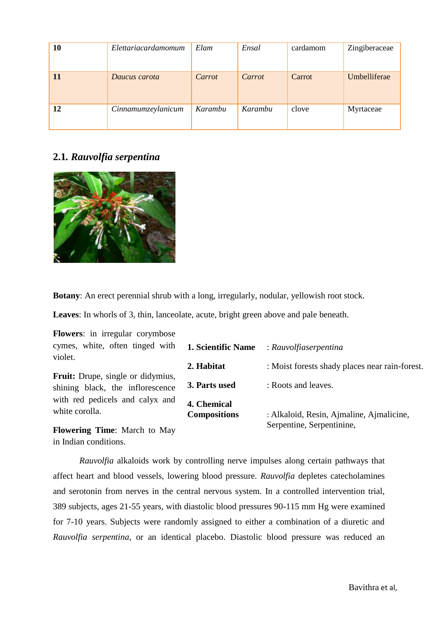| 10 | Elettariacardamomum | Elam    | Ensal   | cardamom | Zingiberaceae |
|----|---------------------|---------|---------|----------|---------------|
| 11 | Daucus carota       | Carrot  | Carrot  | Carrot   | Umbelliferae  |
| 12 | Cinnamumzeylanicum  | Karambu | Karambu | clove    | Myrtaceae     |

# **2.1***. Rauvolfia serpentina*



**Botany**: An erect perennial shrub with a long, irregularly, nodular, yellowish root stock.

**Leaves**: In whorls of 3, thin, lanceolate, acute, bright green above and pale beneath.

**Flowers**: in irregular corymbose cymes, white, often tinged with violet.

**Fruit:** Drupe, single or didymius, shining black, the inflorescence with red pedicels and calyx and white corolla.

**Flowering Time**: March to May in Indian conditions.

| 1. Scientific Name                 | : Rauvolfiaserpentina                                                 |
|------------------------------------|-----------------------------------------------------------------------|
| 2. Habitat                         | : Moist forests shady places near rain-forest.                        |
| 3. Parts used                      | : Roots and leaves.                                                   |
| 4. Chemical<br><b>Compositions</b> | : Alkaloid, Resin, Ajmaline, Ajmalicine,<br>Serpentine, Serpentinine, |

*Rauvolfia* alkaloids work by controlling nerve impulses along certain pathways that affect heart and blood vessels, lowering blood pressure*. Rauvolfia* depletes catecholamines and serotonin from nerves in the central nervous system. In a controlled intervention trial, 389 subjects, ages 21-55 years, with diastolic blood pressures 90-115 mm Hg were examined for 7-10 years. Subjects were randomly assigned to either a combination of a diuretic and *Rauvolfia serpentina*, or an identical placebo. Diastolic blood pressure was reduced an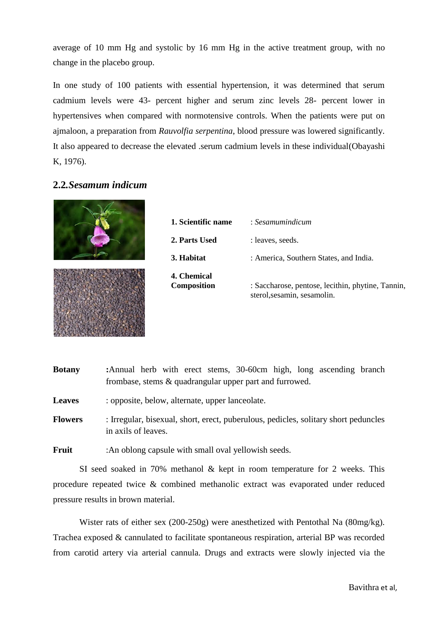average of 10 mm Hg and systolic by 16 mm Hg in the active treatment group, with no change in the placebo group.

In one study of 100 patients with essential hypertension, it was determined that serum cadmium levels were 43- percent higher and serum zinc levels 28- percent lower in hypertensives when compared with normotensive controls. When the patients were put on ajmaloon, a preparation from *Rauvolfia serpentina*, blood pressure was lowered significantly. It also appeared to decrease the elevated .serum cadmium levels in these individual(Obayashi K, 1976).

# **2.2***.Sesamum indicum*



| 1. Scientific name         | : Sesamumindicum                                                                 |
|----------------------------|----------------------------------------------------------------------------------|
| 2. Parts Used              | : leaves, seeds.                                                                 |
| 3. Habitat                 | : America, Southern States, and India.                                           |
| 4. Chemical<br>Composition | : Saccharose, pentose, lecithin, phytine, Tannin,<br>sterol, sesamin, sesamolin. |

**Botany :**Annual herb with erect stems, 30-60cm high, long ascending branch frombase, stems & quadrangular upper part and furrowed.

Leaves : opposite, below, alternate, upper lanceolate.

**Flowers** : Irregular, bisexual, short, erect, puberulous, pedicles, solitary short peduncles in axils of leaves.

**Fruit** :An oblong capsule with small oval yellowish seeds.

SI seed soaked in 70% methanol & kept in room temperature for 2 weeks. This procedure repeated twice & combined methanolic extract was evaporated under reduced pressure results in brown material.

Wister rats of either sex (200-250g) were anesthetized with Pentothal Na (80mg/kg). Trachea exposed & cannulated to facilitate spontaneous respiration, arterial BP was recorded from carotid artery via arterial cannula. Drugs and extracts were slowly injected via the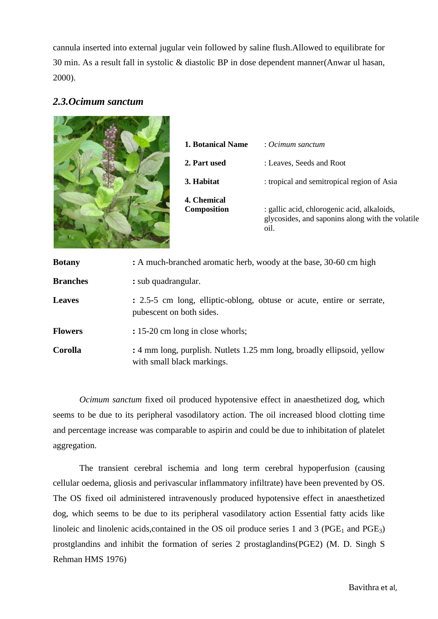cannula inserted into external jugular vein followed by saline flush.Allowed to equilibrate for 30 min. As a result fall in systolic & diastolic BP in dose dependent manner(Anwar ul hasan, 2000).

# *2.3.Ocimum sanctum*



| 1. Botanical Name                 | $: Ocimum$ sanctum                                                                                      |
|-----------------------------------|---------------------------------------------------------------------------------------------------------|
| 2. Part used                      | : Leaves, Seeds and Root                                                                                |
| 3. Habitat                        | : tropical and semitropical region of Asia                                                              |
| 4. Chemical<br><b>Composition</b> | : gallic acid, chlorogenic acid, alkaloids,<br>glycosides, and saponins along with the volatile<br>oil. |

| <b>Botany</b>   | : A much-branched aromatic herb, woody at the base, 30-60 cm high                                    |
|-----------------|------------------------------------------------------------------------------------------------------|
| <b>Branches</b> | : sub quadrangular.                                                                                  |
| <b>Leaves</b>   | : 2.5-5 cm long, elliptic-oblong, obtuse or acute, entire or serrate,<br>pubescent on both sides.    |
| <b>Flowers</b>  | : 15-20 cm long in close whorls;                                                                     |
| <b>Corolla</b>  | : 4 mm long, purplish. Nutlets 1.25 mm long, broadly ellipsoid, yellow<br>with small black markings. |

*Ocimum sanctum* fixed oil produced hypotensive effect in anaesthetized dog, which seems to be due to its peripheral vasodilatory action. The oil increased blood clotting time and percentage increase was comparable to aspirin and could be due to inhibitation of platelet aggregation.

The transient cerebral ischemia and long term cerebral hypoperfusion (causing cellular oedema, gliosis and perivascular inflammatory infiltrate) have been prevented by OS. The OS fixed oil administered intravenously produced hypotensive effect in anaesthetized dog, which seems to be due to its peripheral vasodilatory action Essential fatty acids like linoleic and linolenic acids, contained in the OS oil produce series 1 and 3 ( $PGE<sub>1</sub>$  and  $PGE<sub>3</sub>$ ) prostglandins and inhibit the formation of series 2 prostaglandins(PGE2) (M. D. Singh S Rehman HMS 1976)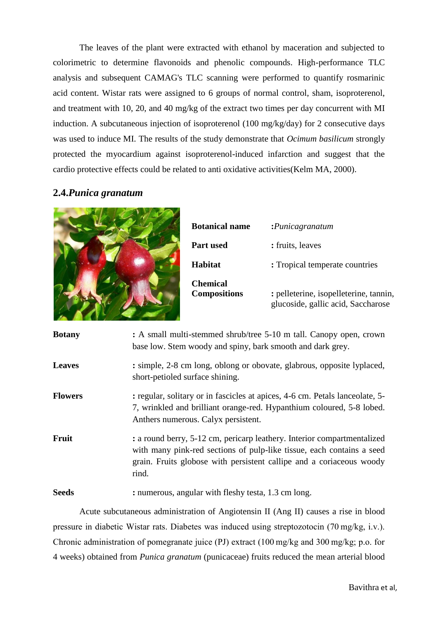The leaves of the plant were extracted with ethanol by maceration and subjected to colorimetric to determine flavonoids and phenolic compounds. High-performance TLC analysis and subsequent CAMAG's TLC scanning were performed to quantify rosmarinic acid content. Wistar rats were assigned to 6 groups of normal control, sham, isoproterenol, and treatment with 10, 20, and 40 mg/kg of the extract two times per day concurrent with MI induction. A subcutaneous injection of isoproterenol  $(100 \text{ mg/kg/day})$  for 2 consecutive days was used to induce MI. The results of the study demonstrate that *Ocimum basilicum* strongly protected the myocardium against isoproterenol-induced infarction and suggest that the cardio protective effects could be related to anti oxidative activities(Kelm MA, 2000).

# **2.4.***Punica granatum*



| <b>Botanical name</b>                  | : Punicagramatum                                                             |
|----------------------------------------|------------------------------------------------------------------------------|
| <b>Part used</b>                       | : fruits, leaves                                                             |
| <b>Habitat</b>                         | : Tropical temperate countries                                               |
| <b>Chemical</b><br><b>Compositions</b> | : pelleterine, isopelleterine, tannin,<br>glucoside, gallic acid, Saccharose |

| <b>Botany</b>  | : A small multi-stemmed shrub/tree 5-10 m tall. Canopy open, crown<br>base low. Stem woody and spiny, bark smooth and dark grey.                                                                                                  |
|----------------|-----------------------------------------------------------------------------------------------------------------------------------------------------------------------------------------------------------------------------------|
| <b>Leaves</b>  | : simple, 2-8 cm long, oblong or obovate, glabrous, opposite lyplaced,<br>short-petioled surface shining.                                                                                                                         |
| <b>Flowers</b> | : regular, solitary or in fascicles at apices, 4-6 cm. Petals lanceolate, 5-<br>7, wrinkled and brilliant orange-red. Hypanthium coloured, 5-8 lobed.<br>Anthers numerous. Calyx persistent.                                      |
| Fruit          | : a round berry, 5-12 cm, pericarp leathery. Interior compartmentalized<br>with many pink-red sections of pulp-like tissue, each contains a seed<br>grain. Fruits globose with persistent callipe and a coriaceous woody<br>rind. |
| <b>Seeds</b>   | : numerous, angular with fleshy testa, 1.3 cm long.                                                                                                                                                                               |

Acute subcutaneous administration of Angiotensin II (Ang II) causes a rise in blood pressure in diabetic Wistar rats. Diabetes was induced using streptozotocin (70 mg/kg, i.v.). Chronic administration of pomegranate juice (PJ) extract (100 mg/kg and 300 mg/kg; p.o. for 4 weeks) obtained from *Punica granatum* (punicaceae) fruits reduced the mean arterial blood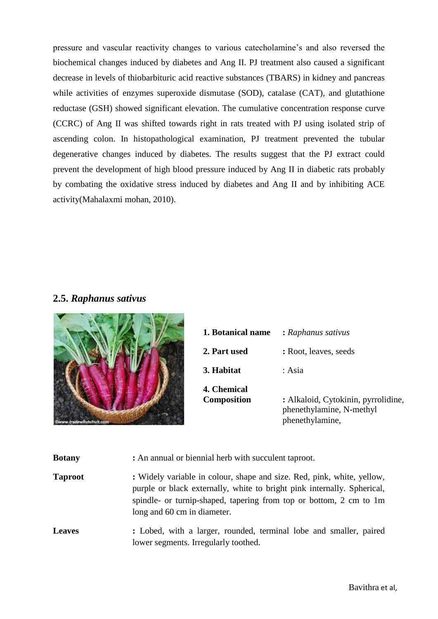pressure and vascular reactivity changes to various catecholamine's and also reversed the biochemical changes induced by diabetes and Ang II. PJ treatment also caused a significant decrease in levels of thiobarbituric acid reactive substances (TBARS) in kidney and pancreas while activities of enzymes superoxide dismutase (SOD), catalase (CAT), and glutathione reductase (GSH) showed significant elevation. The cumulative concentration response curve (CCRC) of Ang II was shifted towards right in rats treated with PJ using isolated strip of ascending colon. In histopathological examination, PJ treatment prevented the tubular degenerative changes induced by diabetes. The results suggest that the PJ extract could prevent the development of high blood pressure induced by Ang II in diabetic rats probably by combating the oxidative stress induced by diabetes and Ang II and by inhibiting ACE activity(Mahalaxmi mohan, 2010).

# **2.5.** *Raphanus sativus*



| 1. Botanical name                 | : Raphanus sativus                                                                 |
|-----------------------------------|------------------------------------------------------------------------------------|
| 2. Part used                      | : Root, leaves, seeds                                                              |
| 3. Habitat                        | : Asia                                                                             |
| 4. Chemical<br><b>Composition</b> | : Alkaloid, Cytokinin, pyrrolidine,<br>phenethylamine, N-methyl<br>phenethylamine, |

| <b>Botany</b>  | : An annual or biennial herb with succulent taproot.                                                                                                                                                                                                   |
|----------------|--------------------------------------------------------------------------------------------------------------------------------------------------------------------------------------------------------------------------------------------------------|
| <b>Taproot</b> | : Widely variable in colour, shape and size. Red, pink, white, yellow,<br>purple or black externally, white to bright pink internally. Spherical,<br>spindle- or turnip-shaped, tapering from top or bottom, 2 cm to 1m<br>long and 60 cm in diameter. |
| <b>Leaves</b>  | : Lobed, with a larger, rounded, terminal lobe and smaller, paired<br>lower segments. Irregularly toothed.                                                                                                                                             |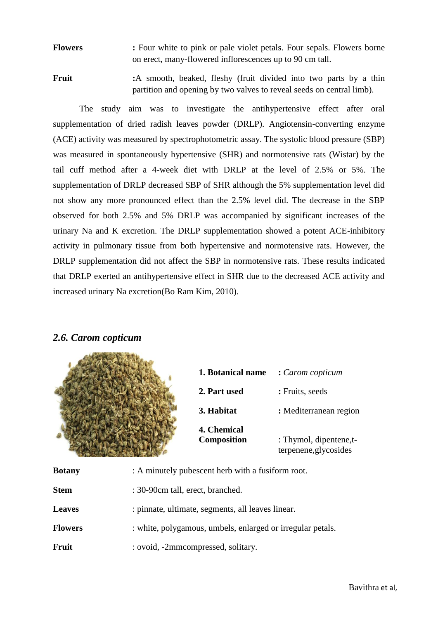**Flowers :** Four white to pink or pale violet petals. Four sepals. Flowers borne on erect, many-flowered inflorescences up to 90 cm tall.

**Fruit** :A smooth, beaked, fleshy (fruit divided into two parts by a thin partition and opening by two valves to reveal seeds on central limb).

The study aim was to investigate the antihypertensive effect after oral supplementation of dried radish leaves powder (DRLP). Angiotensin-converting enzyme (ACE) activity was measured by spectrophotometric assay. The systolic blood pressure (SBP) was measured in spontaneously hypertensive (SHR) and normotensive rats (Wistar) by the tail cuff method after a 4-week diet with DRLP at the level of 2.5% or 5%. The supplementation of DRLP decreased SBP of SHR although the 5% supplementation level did not show any more pronounced effect than the 2.5% level did. The decrease in the SBP observed for both 2.5% and 5% DRLP was accompanied by significant increases of the urinary Na and K excretion. The DRLP supplementation showed a potent ACE-inhibitory activity in pulmonary tissue from both hypertensive and normotensive rats. However, the DRLP supplementation did not affect the SBP in normotensive rats. These results indicated that DRLP exerted an antihypertensive effect in SHR due to the decreased ACE activity and increased urinary Na excretion(Bo Ram Kim, 2010).

# *2.6. Carom copticum*



| 1. Botanical name                 | : Carom copticum                                |
|-----------------------------------|-------------------------------------------------|
| 2. Part used                      | : Fruits, seeds                                 |
| 3. Habitat                        | : Mediterranean region                          |
| <b>4. Chemical</b><br>Composition | : Thymol, dipentene,t-<br>terpenene, glycosides |

**Botany** : A minutely pubescent herb with a fusiform root.

**Stem** : 30-90cm tall, erect, branched.

**Leaves** : pinnate, ultimate, segments, all leaves linear.

- **Flowers** : white, polygamous, umbels, enlarged or irregular petals.
- Fruit : ovoid, -2mmcompressed, solitary.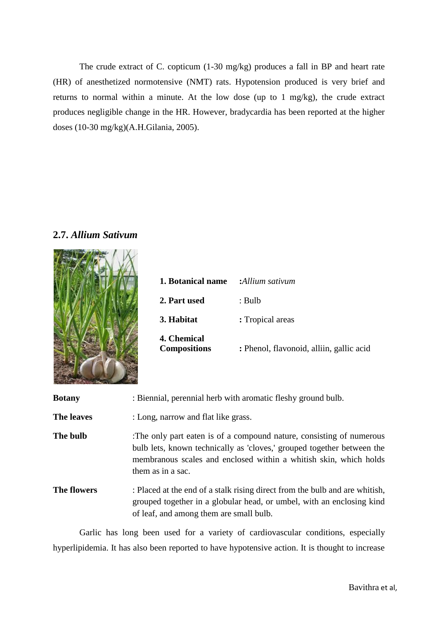The crude extract of C. copticum (1-30 mg/kg) produces a fall in BP and heart rate (HR) of anesthetized normotensive (NMT) rats. Hypotension produced is very brief and returns to normal within a minute. At the low dose (up to 1 mg/kg), the crude extract produces negligible change in the HR. However, bradycardia has been reported at the higher doses (10-30 mg/kg)(A.H.Gilania, 2005).



# **2.7.** *Allium Sativum*

| 1. Botanical name                  | :Allium sativum                          |
|------------------------------------|------------------------------------------|
| 2. Part used                       | : Bulb                                   |
| 3. Habitat                         | : Tropical areas                         |
| 4. Chemical<br><b>Compositions</b> | : Phenol, flavonoid, alliin, gallic acid |

| <b>Botany</b>      | : Biennial, perennial herb with aromatic fleshy ground bulb.                                                                                                                                                                            |
|--------------------|-----------------------------------------------------------------------------------------------------------------------------------------------------------------------------------------------------------------------------------------|
| The leaves         | : Long, narrow and flat like grass.                                                                                                                                                                                                     |
| The bulb           | The only part eaten is of a compound nature, consisting of numerous<br>bulb lets, known technically as 'cloves,' grouped together between the<br>membranous scales and enclosed within a whitish skin, which holds<br>them as in a sac. |
| <b>The flowers</b> | : Placed at the end of a stalk rising direct from the bulb and are whitish,<br>grouped together in a globular head, or umbel, with an enclosing kind<br>of leaf, and among them are small bulb.                                         |

Garlic has long been used for a variety of cardiovascular conditions, especially hyperlipidemia. It has also been reported to have hypotensive action. It is thought to increase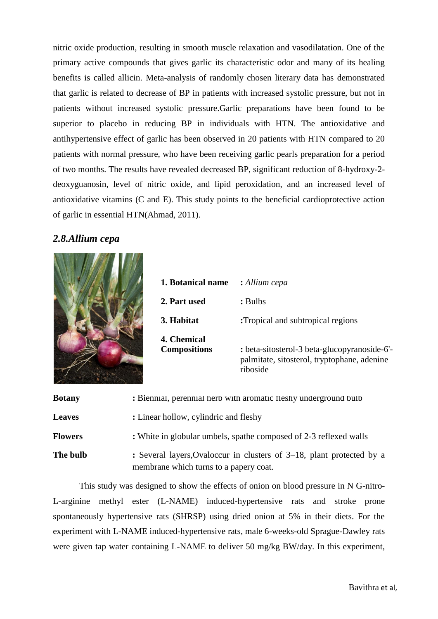nitric oxide production, resulting in smooth muscle relaxation and vasodilatation. One of the primary active compounds that gives garlic its characteristic odor and many of its healing benefits is called allicin. Meta-analysis of randomly chosen literary data has demonstrated that garlic is related to decrease of BP in patients with increased systolic pressure, but not in patients without increased systolic pressure.Garlic preparations have been found to be superior to placebo in reducing BP in individuals with HTN. The antioxidative and antihypertensive effect of garlic has been observed in 20 patients with HTN compared to 20 patients with normal pressure, who have been receiving garlic pearls preparation for a period of two months. The results have revealed decreased BP, significant reduction of 8-hydroxy-2 deoxyguanosin, level of nitric oxide, and lipid peroxidation, and an increased level of antioxidative vitamins (C and E). This study points to the beneficial cardioprotective action of garlic in essential HTN(Ahmad, 2011).

## *2.8.Allium cepa*



| 1. Botanical name                  | : Allium cepa                                                                                           |
|------------------------------------|---------------------------------------------------------------------------------------------------------|
| 2. Part used                       | : Bulbs                                                                                                 |
| 3. Habitat                         | :Tropical and subtropical regions                                                                       |
| 4. Chemical<br><b>Compositions</b> | : beta-sitosterol-3 beta-glucopyranoside-6'-<br>palmitate, sitosterol, tryptophane, adenine<br>riboside |

| <b>Botany</b>  | : Bienmal, perennial herb with aromatic fleshy underground bulb                                                 |
|----------------|-----------------------------------------------------------------------------------------------------------------|
| <b>Leaves</b>  | : Linear hollow, cylindric and fleshy                                                                           |
| <b>Flowers</b> | : White in globular umbels, spathe composed of 2-3 reflexed walls                                               |
| The bulb       | : Several layers, Ovaloccur in clusters of 3–18, plant protected by a<br>membrane which turns to a papery coat. |

This study was designed to show the effects of onion on blood pressure in N G-nitro-L-arginine methyl ester (L-NAME) induced-hypertensive rats and stroke prone spontaneously hypertensive rats (SHRSP) using dried onion at 5% in their diets. For the experiment with L-NAME induced-hypertensive rats, male 6-weeks-old Sprague-Dawley rats were given tap water containing L-NAME to deliver 50 mg/kg BW/day. In this experiment,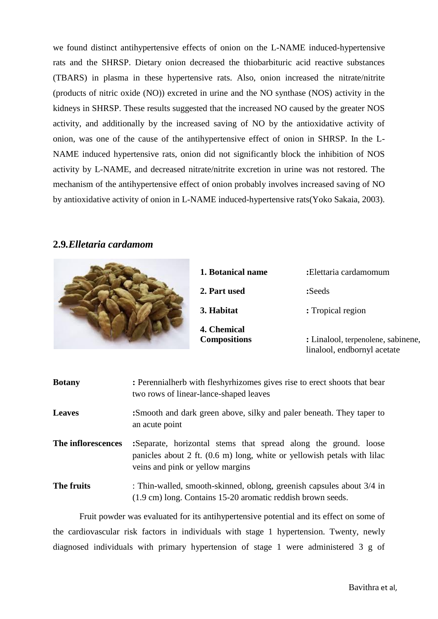we found distinct antihypertensive effects of onion on the L-NAME induced-hypertensive rats and the SHRSP. Dietary onion decreased the thiobarbituric acid reactive substances (TBARS) in plasma in these hypertensive rats. Also, onion increased the nitrate/nitrite (products of nitric oxide (NO)) excreted in urine and the NO synthase (NOS) activity in the kidneys in SHRSP. These results suggested that the increased NO caused by the greater NOS activity, and additionally by the increased saving of NO by the antioxidative activity of onion, was one of the cause of the antihypertensive effect of onion in SHRSP. In the L-NAME induced hypertensive rats, onion did not significantly block the inhibition of NOS activity by L-NAME, and decreased nitrate/nitrite excretion in urine was not restored. The mechanism of the antihypertensive effect of onion probably involves increased saving of NO by antioxidative activity of onion in L-NAME induced-hypertensive rats(Yoko Sakaia, 2003).

## **2.9***.Elletaria cardamom*

| 1. Botanical name                  | :Elettaria cardamomum                                             |
|------------------------------------|-------------------------------------------------------------------|
| 2. Part used                       | :Seeds                                                            |
| 3. Habitat                         | : Tropical region                                                 |
| 4. Chemical<br><b>Compositions</b> | : Linalool, terpenolene, sabinene,<br>linalool, endbornyl acetate |
|                                    |                                                                   |

| <b>Botany</b>      | : Perennialherb with fleshyrhizomes gives rise to erect shoots that bear<br>two rows of linear-lance-shaped leaves                                                                         |
|--------------------|--------------------------------------------------------------------------------------------------------------------------------------------------------------------------------------------|
| <b>Leaves</b>      | :Smooth and dark green above, silky and paler beneath. They taper to<br>an acute point                                                                                                     |
| The inflorescences | :Separate, horizontal stems that spread along the ground. loose<br>panicles about $2$ ft. $(0.6 \text{ m})$ long, white or yellowish petals with lilac<br>veins and pink or yellow margins |
| The fruits         | : Thin-walled, smooth-skinned, oblong, greenish capsules about 3/4 in<br>(1.9 cm) long. Contains 15-20 aromatic reddish brown seeds.                                                       |

Fruit powder was evaluated for its antihypertensive potential and its effect on some of the cardiovascular risk factors in individuals with stage 1 hypertension. Twenty, newly diagnosed individuals with primary hypertension of stage 1 were administered 3 g of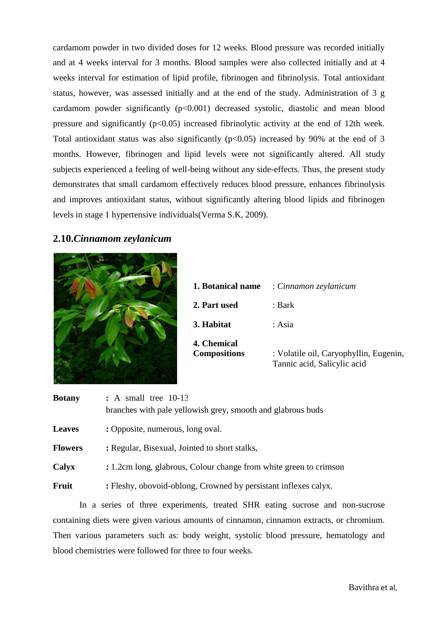cardamom powder in two divided doses for 12 weeks. Blood pressure was recorded initially and at 4 weeks interval for 3 months. Blood samples were also collected initially and at 4 weeks interval for estimation of lipid profile, fibrinogen and fibrinolysis. Total antioxidant status, however, was assessed initially and at the end of the study. Administration of 3 g cardamom powder significantly  $(p<0.001)$  decreased systolic, diastolic and mean blood pressure and significantly  $(p<0.05)$  increased fibrinolytic activity at the end of 12th week. Total antioxidant status was also significantly  $(p<0.05)$  increased by 90% at the end of 3 months. However, fibrinogen and lipid levels were not significantly altered. All study subjects experienced a feeling of well-being without any side-effects. Thus, the present study demonstrates that small cardamom effectively reduces blood pressure, enhances fibrinolysis and improves antioxidant status, without significantly altering blood lipids and fibrinogen levels in stage 1 hypertensive individuals(Verma S.K, 2009).

## **2.10.***Cinnamom zeylanicum*



| 1. Botanical name                         | : Cinnamon zeylanicum                                                 |
|-------------------------------------------|-----------------------------------------------------------------------|
| 2. Part used                              | : Bark                                                                |
| 3. Habitat                                | : Asia                                                                |
| <b>4. Chemical</b><br><b>Compositions</b> | : Volatile oil, Caryophyllin, Eugenin,<br>Tannic acid, Salicylic acid |

| <b>Botany</b>  | $: A small tree 10-13$<br>branches with pale yellowish grey, smooth and glabrous buds |  |
|----------------|---------------------------------------------------------------------------------------|--|
| <b>Leaves</b>  | : Opposite, numerous, long oval.                                                      |  |
| <b>Flowers</b> | : Regular, Bisexual, Jointed to short stalks,                                         |  |
| Calyx          | : 1.2cm long, glabrous, Colour change from white green to crimson                     |  |
| Fruit          | : Fleshy, obovoid-oblong, Crowned by persistant inflexes calyx.                       |  |

In a series of three experiments, treated SHR eating sucrose and non-sucrose containing diets were given various amounts of cinnamon, cinnamon extracts, or chromium. Then various parameters such as: body weight, systolic blood pressure, hematology and blood chemistries were followed for three to four weeks.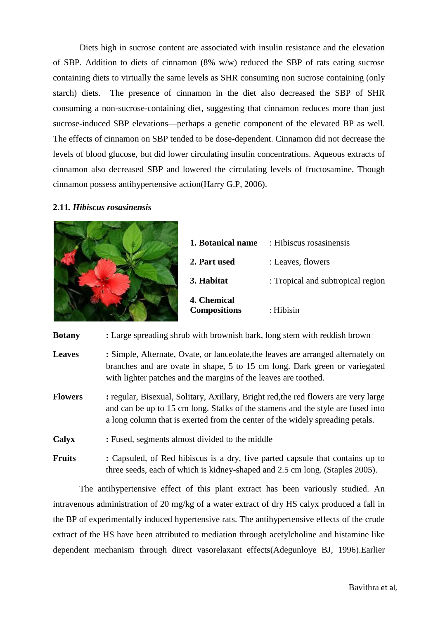Diets high in sucrose content are associated with insulin resistance and the elevation of SBP. Addition to diets of cinnamon (8% w/w) reduced the SBP of rats eating sucrose containing diets to virtually the same levels as SHR consuming non sucrose containing (only starch) diets. The presence of cinnamon in the diet also decreased the SBP of SHR consuming a non-sucrose-containing diet, suggesting that cinnamon reduces more than just sucrose-induced SBP elevations—perhaps a genetic component of the elevated BP as well. The effects of cinnamon on SBP tended to be dose-dependent. Cinnamon did not decrease the levels of blood glucose, but did lower circulating insulin concentrations. Aqueous extracts of cinnamon also decreased SBP and lowered the circulating levels of fructosamine. Though cinnamon possess antihypertensive action(Harry G.P, 2006).

### **2.11***. Hibiscus rosasinensis*



| 1. Botanical name                  | : Hibiscus rosasinensis           |
|------------------------------------|-----------------------------------|
| 2. Part used                       | : Leaves, flowers                 |
| 3. Habitat                         | : Tropical and subtropical region |
| 4. Chemical<br><b>Compositions</b> | : Hibisin                         |

**Botany :** Large spreading shrub with brownish bark, long stem with reddish brown

- **Leaves :** Simple, Alternate, Ovate, or lanceolate,the leaves are arranged alternately on branches and are ovate in shape, 5 to 15 cm long. Dark green or variegated with lighter patches and the margins of the leaves are toothed.
- **Flowers :** regular, Bisexual, Solitary, Axillary, Bright red,the red flowers are very large and can be up to 15 cm long. Stalks of the stamens and the style are fused into a long column that is exerted from the center of the widely spreading petals.
- **Calyx :** Fused, segments almost divided to the middle
- **Fruits :** Capsuled, of Red hibiscus is a dry, five parted capsule that contains up to three seeds, each of which is kidney-shaped and 2.5 cm long. (Staples 2005).

The antihypertensive effect of this plant extract has been variously studied. An intravenous administration of 20 mg/kg of a water extract of dry HS calyx produced a fall in the BP of experimentally induced hypertensive rats. The antihypertensive effects of the crude extract of the HS have been attributed to mediation through acetylcholine and histamine like dependent mechanism through direct vasorelaxant effects(Adegunloye BJ, 1996).Earlier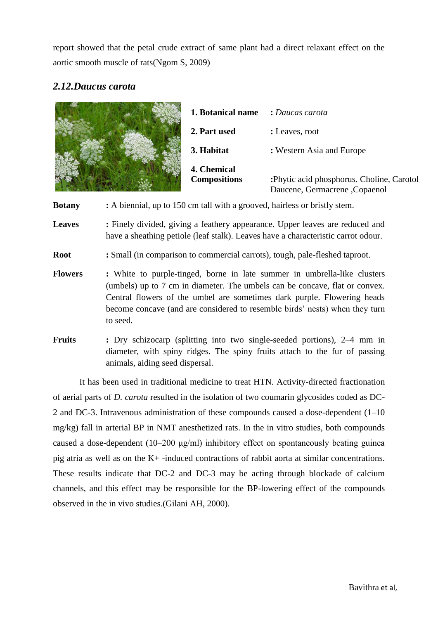report showed that the petal crude extract of same plant had a direct relaxant effect on the aortic smooth muscle of rats(Ngom S, 2009)

# *2.12.Daucus carota*

| 1. Botanical name                  | : Daucas carota                                                            |
|------------------------------------|----------------------------------------------------------------------------|
| 2. Part used                       | : Leaves, root                                                             |
| 3. Habitat                         | : Western Asia and Europe                                                  |
| 4. Chemical<br><b>Compositions</b> | :Phytic acid phosphorus. Choline, Carotol<br>Daucene, Germacrene, Copaenol |

**Botany :** A biennial, up to 150 cm tall with a grooved, hairless or bristly stem.

**Leaves** : Finely divided, giving a feathery appearance. Upper leaves are reduced and have a sheathing petiole (leaf stalk). Leaves have a characteristic carrot odour.

**Root :** Small (in comparison to commercial carrots), tough, pale-fleshed taproot.

- **Flowers :** White to purple-tinged, borne in late summer in umbrella-like clusters (umbels) up to 7 cm in diameter. The umbels can be concave, flat or convex. Central flowers of the umbel are sometimes dark purple. Flowering heads become concave (and are considered to resemble birds' nests) when they turn to seed.
- **Fruits :** Dry schizocarp (splitting into two single-seeded portions), 2–4 mm in diameter, with spiny ridges. The spiny fruits attach to the fur of passing animals, aiding seed dispersal.

It has been used in traditional medicine to treat HTN. Activity-directed fractionation of aerial parts of *D. carota* resulted in the isolation of two coumarin glycosides coded as DC-2 and DC-3. Intravenous administration of these compounds caused a dose-dependent (1–10 mg/kg) fall in arterial BP in NMT anesthetized rats. In the in vitro studies, both compounds caused a dose-dependent (10–200 μg/ml) inhibitory effect on spontaneously beating guinea pig atria as well as on the K+ -induced contractions of rabbit aorta at similar concentrations. These results indicate that DC-2 and DC-3 may be acting through blockade of calcium channels, and this effect may be responsible for the BP-lowering effect of the compounds observed in the in vivo studies.(Gilani AH, 2000).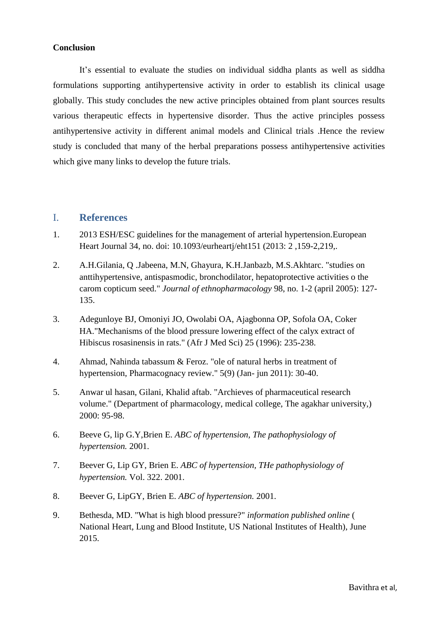### **Conclusion**

It's essential to evaluate the studies on individual siddha plants as well as siddha formulations supporting antihypertensive activity in order to establish its clinical usage globally. This study concludes the new active principles obtained from plant sources results various therapeutic effects in hypertensive disorder. Thus the active principles possess antihypertensive activity in different animal models and Clinical trials .Hence the review study is concluded that many of the herbal preparations possess antihypertensive activities which give many links to develop the future trials.

## I. **References**

- 1. 2013 ESH/ESC guidelines for the management of arterial hypertension.European Heart Journal 34, no. doi: 10.1093/eurheartj/eht151 (2013: 2 ,159-2,219,.
- 2. A.H.Gilania, Q .Jabeena, M.N, Ghayura, K.H.Janbazb, M.S.Akhtarc. "studies on anttihypertensive, antispasmodic, bronchodilator, hepatoprotective activities o the carom copticum seed." *Journal of ethnopharmacology* 98, no. 1-2 (april 2005): 127- 135.
- 3. Adegunloye BJ, Omoniyi JO, Owolabi OA, Ajagbonna OP, Sofola OA, Coker HA."Mechanisms of the blood pressure lowering effect of the calyx extract of Hibiscus rosasinensis in rats." (Afr J Med Sci) 25 (1996): 235-238.
- 4. Ahmad, Nahinda tabassum & Feroz. "ole of natural herbs in treatment of hypertension, Pharmacognacy review." 5(9) (Jan- jun 2011): 30-40.
- 5. Anwar ul hasan, Gilani, Khalid aftab. "Archieves of pharmaceutical research volume." (Department of pharmacology, medical college, The agakhar university,) 2000: 95-98.
- 6. Beeve G, lip G.Y,Brien E. *ABC of hypertension, The pathophysiology of hypertension.* 2001.
- 7. Beever G, Lip GY, Brien E. *ABC of hypertension, THe pathophysiology of hypertension.* Vol. 322. 2001.
- 8. Beever G, LipGY, Brien E. *ABC of hypertension.* 2001.
- 9. Bethesda, MD. "What is high blood pressure?" *information published online* ( National Heart, Lung and Blood Institute, US National Institutes of Health), June 2015.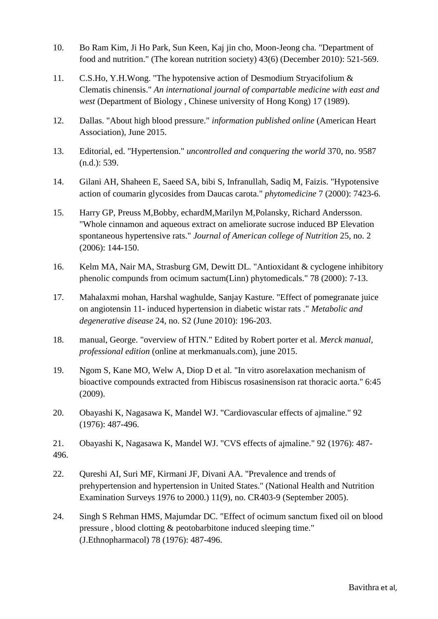- 10. Bo Ram Kim, Ji Ho Park, Sun Keen, Kaj jin cho, Moon-Jeong cha. "Department of food and nutrition." (The korean nutrition society) 43(6) (December 2010): 521-569.
- 11. C.S.Ho, Y.H.Wong. "The hypotensive action of Desmodium Stryacifolium & Clematis chinensis." *An international journal of compartable medicine with east and west* (Department of Biology , Chinese university of Hong Kong) 17 (1989).
- 12. Dallas. "About high blood pressure." *information published online* (American Heart Association), June 2015.
- 13. Editorial, ed. "Hypertension." *uncontrolled and conquering the world* 370, no. 9587 (n.d.): 539.
- 14. Gilani AH, Shaheen E, Saeed SA, bibi S, Infranullah, Sadiq M, Faizis. "Hypotensive action of coumarin glycosides from Daucas carota." *phytomedicine* 7 (2000): 7423-6.
- 15. Harry GP, Preuss M,Bobby, echardM,Marilyn M,Polansky, Richard Andersson. "Whole cinnamon and aqueous extract on ameliorate sucrose induced BP Elevation spontaneous hypertensive rats." *Journal of American college of Nutrition* 25, no. 2 (2006): 144-150.
- 16. Kelm MA, Nair MA, Strasburg GM, Dewitt DL. "Antioxidant & cyclogene inhibitory phenolic compunds from ocimum sactum(Linn) phytomedicals." 78 (2000): 7-13.
- 17. Mahalaxmi mohan, Harshal waghulde, Sanjay Kasture. "Effect of pomegranate juice on angiotensin 11- induced hypertension in diabetic wistar rats ." *Metabolic and degenerative disease* 24, no. S2 (June 2010): 196-203.
- 18. manual, George. "overview of HTN." Edited by Robert porter et al. *Merck manual, professional edition* (online at merkmanuals.com), june 2015.
- 19. Ngom S, Kane MO, Welw A, Diop D et al. "In vitro asorelaxation mechanism of bioactive compounds extracted from Hibiscus rosasinensison rat thoracic aorta." 6:45 (2009).
- 20. Obayashi K, Nagasawa K, Mandel WJ. "Cardiovascular effects of ajmaline." 92 (1976): 487-496.
- 21. Obayashi K, Nagasawa K, Mandel WJ. "CVS effects of ajmaline." 92 (1976): 487- 496.
- 22. Qureshi AI, Suri MF, Kirmani JF, Divani AA. "Prevalence and trends of prehypertension and hypertension in United States." (National Health and Nutrition Examination Surveys 1976 to 2000.) 11(9), no. CR403-9 (September 2005).
- 24. Singh S Rehman HMS, Majumdar DC. "Effect of ocimum sanctum fixed oil on blood pressure , blood clotting & peotobarbitone induced sleeping time." (J.Ethnopharmacol) 78 (1976): 487-496.